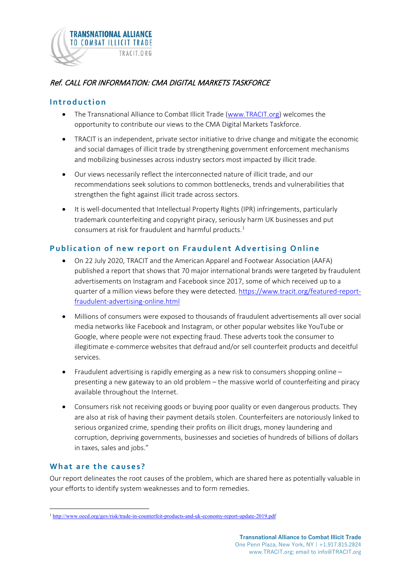

# Ref. CALL FOR INFORMATION: CMA DIGITAL MARKETS TASKFORCE

#### **Introduction**

- The Transnational Alliance to Combat Illicit Trade [\(www.TRACIT.org\)](http://www.tracit.org/) welcomes the opportunity to contribute our views to the CMA Digital Markets Taskforce.
- TRACIT is an independent, private sector initiative to drive change and mitigate the economic and social damages of illicit trade by strengthening government enforcement mechanisms and mobilizing businesses across industry sectors most impacted by illicit trade.
- Our views necessarily reflect the interconnected nature of illicit trade, and our recommendations seek solutions to common bottlenecks, trends and vulnerabilities that strengthen the fight against illicit trade across sectors.
- It is well-documented that Intellectual Property Rights (IPR) infringements, particularly trademark counterfeiting and copyright piracy, seriously harm UK businesses and put consumers at risk for fraudulent and harmful products.<sup>[1](#page-0-0)</sup>

## **Publication of new report on Fraudulent Advertising Online**

- On 22 July 2020, TRACIT and the American Apparel and Footwear Association (AAFA) published a report that shows that 70 major international brands were targeted by fraudulent advertisements on Instagram and Facebook since 2017, some of which received up to a quarter of a million views before they were detected. [https://www.tracit.org/featured-report](https://www.tracit.org/featured-report-fraudulent-advertising-online.html)[fraudulent-advertising-online.html](https://www.tracit.org/featured-report-fraudulent-advertising-online.html)
- Millions of consumers were exposed to thousands of fraudulent advertisements all over social media networks like Facebook and Instagram, or other popular websites like YouTube or Google, where people were not expecting fraud. These adverts took the consumer to illegitimate e-commerce websites that defraud and/or sell counterfeit products and deceitful services.
- Fraudulent advertising is rapidly emerging as a new risk to consumers shopping online presenting a new gateway to an old problem – the massive world of counterfeiting and piracy available throughout the Internet.
- Consumers risk not receiving goods or buying poor quality or even dangerous products. They are also at risk of having their payment details stolen. Counterfeiters are notoriously linked to serious organized crime, spending their profits on illicit drugs, money laundering and corruption, depriving governments, businesses and societies of hundreds of billions of dollars in taxes, sales and jobs."

### **What are the causes ?**

Our report delineates the root causes of the problem, which are shared here as potentially valuable in your efforts to identify system weaknesses and to form remedies.

<span id="page-0-0"></span><sup>1</sup> <http://www.oecd.org/gov/risk/trade-in-counterfeit-products-and-uk-economy-report-update-2019.pdf>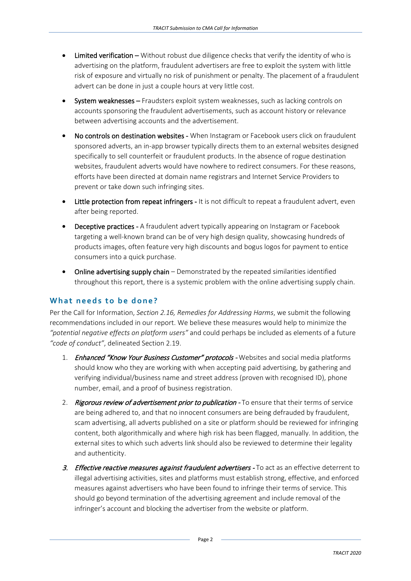- Limited verification Without robust due diligence checks that verify the identity of who is advertising on the platform, fraudulent advertisers are free to exploit the system with little risk of exposure and virtually no risk of punishment or penalty. The placement of a fraudulent advert can be done in just a couple hours at very little cost.
- System weaknesses Fraudsters exploit system weaknesses, such as lacking controls on accounts sponsoring the fraudulent advertisements, such as account history or relevance between advertising accounts and the advertisement.
- No controls on destination websites When Instagram or Facebook users click on fraudulent sponsored adverts, an in-app browser typically directs them to an external websites designed specifically to sell counterfeit or fraudulent products. In the absence of rogue destination websites, fraudulent adverts would have nowhere to redirect consumers. For these reasons, efforts have been directed at domain name registrars and Internet Service Providers to prevent or take down such infringing sites.
- Little protection from repeat infringers It is not difficult to repeat a fraudulent advert, even after being reported.
- Deceptive practices A fraudulent advert typically appearing on Instagram or Facebook targeting a well-known brand can be of very high design quality, showcasing hundreds of products images, often feature very high discounts and bogus logos for payment to entice consumers into a quick purchase.
- Online advertising supply chain Demonstrated by the repeated similarities identified throughout this report, there is a systemic problem with the online advertising supply chain.

### **What needs to be done?**

Per the Call for Information, *Section 2.16, Remedies for Addressing Harms*, we submit the following recommendations included in our report. We believe these measures would help to minimize the *"potential negative effects on platform users"* and could perhaps be included as elements of a future *"code of conduct"*, delineated Section 2.19.

- 1. Enhanced "Know Your Business Customer" protocols Websites and social media platforms should know who they are working with when accepting paid advertising, by gathering and verifying individual/business name and street address (proven with recognised ID), phone number, email, and a proof of business registration.
- 2. Rigorous review of advertisement prior to publication To ensure that their terms of service are being adhered to, and that no innocent consumers are being defrauded by fraudulent, scam advertising, all adverts published on a site or platform should be reviewed for infringing content, both algorithmically and where high risk has been flagged, manually. In addition, the external sites to which such adverts link should also be reviewed to determine their legality and authenticity.
- 3. Effective reactive measures against fraudulent advertisers To act as an effective deterrent to illegal advertising activities, sites and platforms must establish strong, effective, and enforced measures against advertisers who have been found to infringe their terms of service. This should go beyond termination of the advertising agreement and include removal of the infringer's account and blocking the advertiser from the website or platform.